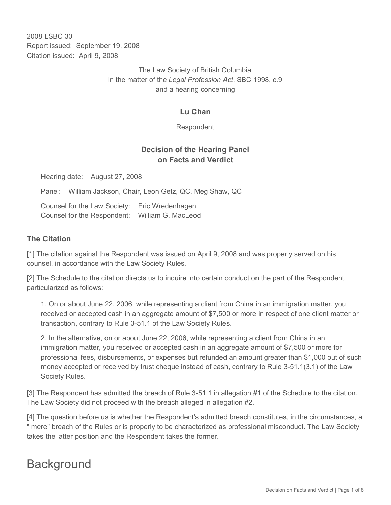2008 LSBC 30 Report issued: September 19, 2008 Citation issued: April 9, 2008

> The Law Society of British Columbia In the matter of the *Legal Profession Act*, SBC 1998, c.9 and a hearing concerning

## **Lu Chan**

Respondent

## **Decision of the Hearing Panel on Facts and Verdict**

Hearing date: August 27, 2008

Panel: William Jackson, Chair, Leon Getz, QC, Meg Shaw, QC

Counsel for the Law Society: Eric Wredenhagen Counsel for the Respondent: William G. MacLeod

#### **The Citation**

[1] The citation against the Respondent was issued on April 9, 2008 and was properly served on his counsel, in accordance with the Law Society Rules*.*

[2] The Schedule to the citation directs us to inquire into certain conduct on the part of the Respondent, particularized as follows:

1. On or about June 22, 2006, while representing a client from China in an immigration matter, you received or accepted cash in an aggregate amount of \$7,500 or more in respect of one client matter or transaction, contrary to Rule 3-51.1 of the Law Society Rules.

2. In the alternative, on or about June 22, 2006, while representing a client from China in an immigration matter, you received or accepted cash in an aggregate amount of \$7,500 or more for professional fees, disbursements, or expenses but refunded an amount greater than \$1,000 out of such money accepted or received by trust cheque instead of cash, contrary to Rule 3-51.1(3.1) of the Law Society Rules.

[3] The Respondent has admitted the breach of Rule 3-51.1 in allegation #1 of the Schedule to the citation. The Law Society did not proceed with the breach alleged in allegation #2.

[4] The question before us is whether the Respondent's admitted breach constitutes, in the circumstances, a " mere" breach of the Rules or is properly to be characterized as professional misconduct. The Law Society takes the latter position and the Respondent takes the former.

# **Background**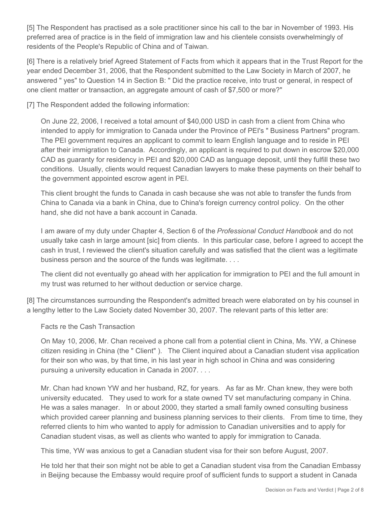[5] The Respondent has practised as a sole practitioner since his call to the bar in November of 1993. His preferred area of practice is in the field of immigration law and his clientele consists overwhelmingly of residents of the People's Republic of China and of Taiwan.

[6] There is a relatively brief Agreed Statement of Facts from which it appears that in the Trust Report for the year ended December 31, 2006, that the Respondent submitted to the Law Society in March of 2007, he answered " yes" to Question 14 in Section B: " Did the practice receive, into trust or general, in respect of one client matter or transaction, an aggregate amount of cash of \$7,500 or more?"

[7] The Respondent added the following information:

On June 22, 2006, I received a total amount of \$40,000 USD in cash from a client from China who intended to apply for immigration to Canada under the Province of PEI's " Business Partners" program. The PEI government requires an applicant to commit to learn English language and to reside in PEI after their immigration to Canada. Accordingly, an applicant is required to put down in escrow \$20,000 CAD as guaranty for residency in PEI and \$20,000 CAD as language deposit, until they fulfill these two conditions. Usually, clients would request Canadian lawyers to make these payments on their behalf to the government appointed escrow agent in PEI.

This client brought the funds to Canada in cash because she was not able to transfer the funds from China to Canada via a bank in China, due to China's foreign currency control policy. On the other hand, she did not have a bank account in Canada.

I am aware of my duty under Chapter 4, Section 6 of the *Professional Conduct Handbook* and do not usually take cash in large amount [sic] from clients. In this particular case, before I agreed to accept the cash in trust, I reviewed the client's situation carefully and was satisfied that the client was a legitimate business person and the source of the funds was legitimate. . . .

The client did not eventually go ahead with her application for immigration to PEI and the full amount in my trust was returned to her without deduction or service charge.

[8] The circumstances surrounding the Respondent's admitted breach were elaborated on by his counsel in a lengthy letter to the Law Society dated November 30, 2007. The relevant parts of this letter are:

Facts re the Cash Transaction

On May 10, 2006, Mr. Chan received a phone call from a potential client in China, Ms. YW, a Chinese citizen residing in China (the " Client" ). The Client inquired about a Canadian student visa application for their son who was, by that time, in his last year in high school in China and was considering pursuing a university education in Canada in 2007. . . .

Mr. Chan had known YW and her husband, RZ, for years. As far as Mr. Chan knew, they were both university educated. They used to work for a state owned TV set manufacturing company in China. He was a sales manager. In or about 2000, they started a small family owned consulting business which provided career planning and business planning services to their clients. From time to time, they referred clients to him who wanted to apply for admission to Canadian universities and to apply for Canadian student visas, as well as clients who wanted to apply for immigration to Canada.

This time, YW was anxious to get a Canadian student visa for their son before August, 2007.

He told her that their son might not be able to get a Canadian student visa from the Canadian Embassy in Beijing because the Embassy would require proof of sufficient funds to support a student in Canada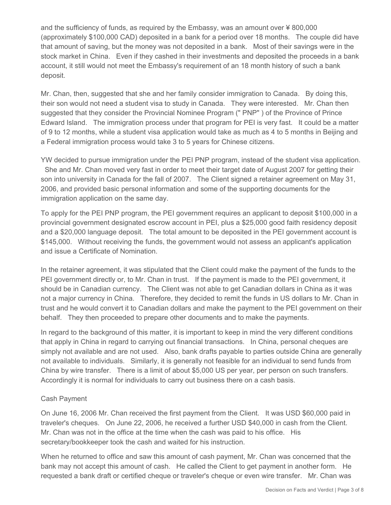and the sufficiency of funds, as required by the Embassy, was an amount over ¥ 800,000 (approximately \$100,000 CAD) deposited in a bank for a period over 18 months. The couple did have that amount of saving, but the money was not deposited in a bank. Most of their savings were in the stock market in China. Even if they cashed in their investments and deposited the proceeds in a bank account, it still would not meet the Embassy's requirement of an 18 month history of such a bank deposit.

Mr. Chan, then, suggested that she and her family consider immigration to Canada. By doing this, their son would not need a student visa to study in Canada. They were interested. Mr. Chan then suggested that they consider the Provincial Nominee Program (" PNP" ) of the Province of Prince Edward Island. The immigration process under that program for PEI is very fast. It could be a matter of 9 to 12 months, while a student visa application would take as much as 4 to 5 months in Beijing and a Federal immigration process would take 3 to 5 years for Chinese citizens.

YW decided to pursue immigration under the PEI PNP program, instead of the student visa application. She and Mr. Chan moved very fast in order to meet their target date of August 2007 for getting their son into university in Canada for the fall of 2007. The Client signed a retainer agreement on May 31, 2006, and provided basic personal information and some of the supporting documents for the immigration application on the same day.

To apply for the PEI PNP program, the PEI government requires an applicant to deposit \$100,000 in a provincial government designated escrow account in PEI, plus a \$25,000 good faith residency deposit and a \$20,000 language deposit. The total amount to be deposited in the PEI government account is \$145,000. Without receiving the funds, the government would not assess an applicant's application and issue a Certificate of Nomination.

In the retainer agreement, it was stipulated that the Client could make the payment of the funds to the PEI government directly or, to Mr. Chan in trust. If the payment is made to the PEI government, it should be in Canadian currency. The Client was not able to get Canadian dollars in China as it was not a major currency in China. Therefore, they decided to remit the funds in US dollars to Mr. Chan in trust and he would convert it to Canadian dollars and make the payment to the PEI government on their behalf. They then proceeded to prepare other documents and to make the payments.

In regard to the background of this matter, it is important to keep in mind the very different conditions that apply in China in regard to carrying out financial transactions. In China, personal cheques are simply not available and are not used. Also, bank drafts payable to parties outside China are generally not available to individuals. Similarly, it is generally not feasible for an individual to send funds from China by wire transfer. There is a limit of about \$5,000 US per year, per person on such transfers. Accordingly it is normal for individuals to carry out business there on a cash basis.

#### Cash Payment

On June 16, 2006 Mr. Chan received the first payment from the Client. It was USD \$60,000 paid in traveler's cheques. On June 22, 2006, he received a further USD \$40,000 in cash from the Client. Mr. Chan was not in the office at the time when the cash was paid to his office. His secretary/bookkeeper took the cash and waited for his instruction.

When he returned to office and saw this amount of cash payment, Mr. Chan was concerned that the bank may not accept this amount of cash. He called the Client to get payment in another form. He requested a bank draft or certified cheque or traveler's cheque or even wire transfer. Mr. Chan was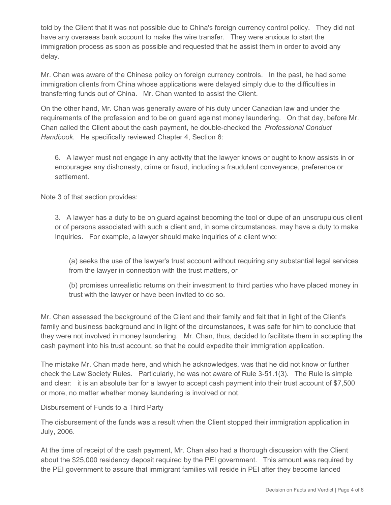told by the Client that it was not possible due to China's foreign currency control policy. They did not have any overseas bank account to make the wire transfer. They were anxious to start the immigration process as soon as possible and requested that he assist them in order to avoid any delay.

Mr. Chan was aware of the Chinese policy on foreign currency controls. In the past, he had some immigration clients from China whose applications were delayed simply due to the difficulties in transferring funds out of China. Mr. Chan wanted to assist the Client.

On the other hand, Mr. Chan was generally aware of his duty under Canadian law and under the requirements of the profession and to be on guard against money laundering. On that day, before Mr. Chan called the Client about the cash payment, he double-checked the *Professional Conduct Handbook*. He specifically reviewed Chapter 4, Section 6:

6. A lawyer must not engage in any activity that the lawyer knows or ought to know assists in or encourages any dishonesty, crime or fraud, including a fraudulent conveyance, preference or settlement.

Note 3 of that section provides:

3. A lawyer has a duty to be on guard against becoming the tool or dupe of an unscrupulous client or of persons associated with such a client and, in some circumstances, may have a duty to make Inquiries. For example, a lawyer should make inquiries of a client who:

(a) seeks the use of the lawyer's trust account without requiring any substantial legal services from the lawyer in connection with the trust matters, or

(b) promises unrealistic returns on their investment to third parties who have placed money in trust with the lawyer or have been invited to do so.

Mr. Chan assessed the background of the Client and their family and felt that in light of the Client's family and business background and in light of the circumstances, it was safe for him to conclude that they were not involved in money laundering. Mr. Chan, thus, decided to facilitate them in accepting the cash payment into his trust account, so that he could expedite their immigration application.

The mistake Mr. Chan made here, and which he acknowledges, was that he did not know or further check the Law Society Rules. Particularly, he was not aware of Rule 3-51.1(3). The Rule is simple and clear: it is an absolute bar for a lawyer to accept cash payment into their trust account of \$7,500 or more, no matter whether money laundering is involved or not.

Disbursement of Funds to a Third Party

The disbursement of the funds was a result when the Client stopped their immigration application in July, 2006.

At the time of receipt of the cash payment, Mr. Chan also had a thorough discussion with the Client about the \$25,000 residency deposit required by the PEI government. This amount was required by the PEI government to assure that immigrant families will reside in PEI after they become landed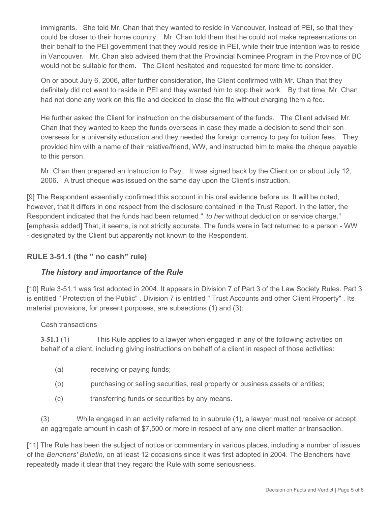immigrants. She told Mr. Chan that they wanted to reside in Vancouver, instead of PEI, so that they could be closer to their home country. Mr. Chan told them that he could not make representations on their behalf to the PEI government that they would reside in PEI, while their true intention was to reside in Vancouver. Mr. Chan also advised them that the Provincial Nominee Program in the Province of BC would not be suitable for them. The Client hesitated and requested for more time to consider.

On or about July 6, 2006, after further consideration, the Client confirmed with Mr. Chan that they definitely did not want to reside in PEI and they wanted him to stop their work. By that time, Mr. Chan had not done any work on this file and decided to close the file without charging them a fee.

He further asked the Client for instruction on the disbursement of the funds. The Client advised Mr. Chan that they wanted to keep the funds overseas in case they made a decision to send their son overseas for a university education and they needed the foreign currency to pay for tuition fees. They provided him with a name of their relative/friend, WW, and instructed him to make the cheque payable to this person.

Mr. Chan then prepared an Instruction to Pay. It was signed back by the Client on or about July 12, 2006. A trust cheque was issued on the same day upon the Client's instruction.

[9] The Respondent essentially confirmed this account in his oral evidence before us. It will be noted, however, that it differs in one respect from the disclosure contained in the Trust Report. In the latter, the Respondent indicated that the funds had been returned " *to her* without deduction or service charge." [emphasis added] That, it seems, is not strictly accurate. The funds were in fact returned to a person - WW - designated by the Client but apparently not known to the Respondent.

## **RULE 3-51.1 (the " no cash" rule)**

## *The history and importance of the Rule*

[10] Rule 3-51.1 was first adopted in 2004. It appears in Division 7 of Part 3 of the Law Society Rules. Part 3 is entitled " Protection of the Public" . Division 7 is entitled " Trust Accounts and other Client Property" . Its material provisions, for present purposes, are subsections (1) and (3):

#### Cash transactions

**3-51.1** (1) This Rule applies to a lawyer when engaged in any of the following activities on behalf of a client, including giving instructions on behalf of a client in respect of those activities:

- (a) receiving or paying funds;
- (b) purchasing or selling securities, real property or business assets or entities;
- (c) transferring funds or securities by any means.

(3) While engaged in an activity referred to in subrule (1), a lawyer must not receive or accept an aggregate amount in cash of \$7,500 or more in respect of any one client matter or transaction.

[11] The Rule has been the subject of notice or commentary in various places, including a number of issues of the *Benchers' Bulletin*, on at least 12 occasions since it was first adopted in 2004. The Benchers have repeatedly made it clear that they regard the Rule with some seriousness.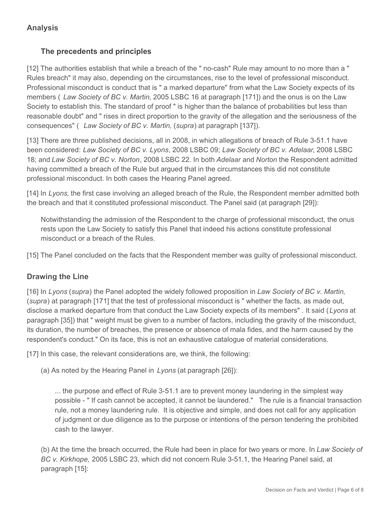# **Analysis**

## **The precedents and principles**

[12] The authorities establish that while a breach of the " no-cash" Rule may amount to no more than a " Rules breach" it may also, depending on the circumstances, rise to the level of professional misconduct. Professional misconduct is conduct that is " a marked departure" from what the Law Society expects of its members ( *Law Society of BC v. Martin,* 2005 LSBC 16 at paragraph [171]) and the onus is on the Law Society to establish this. The standard of proof " is higher than the balance of probabilities but less than reasonable doubt" and " rises in direct proportion to the gravity of the allegation and the seriousness of the consequences" ( *Law Society of BC v. Martin,* (*supra*) at paragraph [137]).

[13] There are three published decisions, all in 2008, in which allegations of breach of Rule 3-51.1 have been considered: *Law Society of BC v. Lyons*, 2008 LSBC 09; *Law Society of BC v. Adelaar*, 2008 LSBC 18; and *Law Society of BC v. Norton*, 2008 LSBC 22. In both *Adelaar* and *Norton* the Respondent admitted having committed a breach of the Rule but argued that in the circumstances this did not constitute professional misconduct. In both cases the Hearing Panel agreed.

[14] In *Lyons*, the first case involving an alleged breach of the Rule, the Respondent member admitted both the breach and that it constituted professional misconduct. The Panel said (at paragraph [29]):

Notwithstanding the admission of the Respondent to the charge of professional misconduct, the onus rests upon the Law Society to satisfy this Panel that indeed his actions constitute professional misconduct or a breach of the Rules.

[15] The Panel concluded on the facts that the Respondent member was guilty of professional misconduct.

## **Drawing the Line**

[16] In *Lyons* (*supra*) the Panel adopted the widely followed proposition in *Law Society of BC v. Martin,*  (*supra*) at paragraph [171] that the test of professional misconduct is " whether the facts, as made out, disclose a marked departure from that conduct the Law Society expects of its members" . It said (*Lyons* at paragraph [35]) that " weight must be given to a number of factors, including the gravity of the misconduct, its duration, the number of breaches, the presence or absence of mala fides, and the harm caused by the respondent's conduct." On its face, this is not an exhaustive catalogue of material considerations.

[17] In this case, the relevant considerations are, we think, the following:

(a) As noted by the Hearing Panel in *Lyons* (at paragraph [26]):

... the purpose and effect of Rule 3-51.1 are to prevent money laundering in the simplest way possible - " If cash cannot be accepted, it cannot be laundered." The rule is a financial transaction rule, not a money laundering rule. It is objective and simple, and does not call for any application of judgment or due diligence as to the purpose or intentions of the person tendering the prohibited cash to the lawyer.

(b) At the time the breach occurred, the Rule had been in place for two years or more. In *Law Society of BC v. Kirkhope,* 2005 LSBC 23, which did not concern Rule 3-51.1, the Hearing Panel said, at paragraph [15]: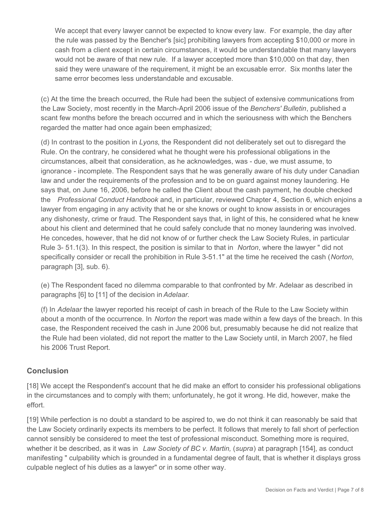We accept that every lawyer cannot be expected to know every law. For example, the day after the rule was passed by the Bencher's [sic] prohibiting lawyers from accepting \$10,000 or more in cash from a client except in certain circumstances, it would be understandable that many lawyers would not be aware of that new rule. If a lawyer accepted more than \$10,000 on that day, then said they were unaware of the requirement, it might be an excusable error. Six months later the same error becomes less understandable and excusable.

(c) At the time the breach occurred, the Rule had been the subject of extensive communications from the Law Society, most recently in the March-April 2006 issue of the *Benchers' Bulletin*, published a scant few months before the breach occurred and in which the seriousness with which the Benchers regarded the matter had once again been emphasized;

(d) In contrast to the position in *Lyons*, the Respondent did not deliberately set out to disregard the Rule. On the contrary, he considered what he thought were his professional obligations in the circumstances, albeit that consideration, as he acknowledges, was - due, we must assume, to ignorance - incomplete. The Respondent says that he was generally aware of his duty under Canadian law and under the requirements of the profession and to be on guard against money laundering. He says that, on June 16, 2006, before he called the Client about the cash payment, he double checked the *Professional Conduct Handbook* and, in particular, reviewed Chapter 4, Section 6, which enjoins a lawyer from engaging in any activity that he or she knows or ought to know assists in or encourages any dishonesty, crime or fraud. The Respondent says that, in light of this, he considered what he knew about his client and determined that he could safely conclude that no money laundering was involved. He concedes, however, that he did not know of or further check the Law Society Rules, in particular Rule 3- 51.1(3). In this respect, the position is similar to that in *Norton*, where the lawyer " did not specifically consider or recall the prohibition in Rule 3-51.1" at the time he received the cash (*Norton*, paragraph [3], sub. 6).

(e) The Respondent faced no dilemma comparable to that confronted by Mr. Adelaar as described in paragraphs [6] to [11] of the decision in *Adelaar.*

(f) In *Adelaar* the lawyer reported his receipt of cash in breach of the Rule to the Law Society within about a month of the occurrence. In *Norton* the report was made within a few days of the breach. In this case, the Respondent received the cash in June 2006 but, presumably because he did not realize that the Rule had been violated, did not report the matter to the Law Society until, in March 2007, he filed his 2006 Trust Report.

## **Conclusion**

[18] We accept the Respondent's account that he did make an effort to consider his professional obligations in the circumstances and to comply with them; unfortunately, he got it wrong. He did, however, make the effort.

[19] While perfection is no doubt a standard to be aspired to, we do not think it can reasonably be said that the Law Society ordinarily expects its members to be perfect. It follows that merely to fall short of perfection cannot sensibly be considered to meet the test of professional misconduct. Something more is required, whether it be described, as it was in *Law Society of BC v. Martin,* (*supra*) at paragraph [154], as conduct manifesting " culpability which is grounded in a fundamental degree of fault, that is whether it displays gross culpable neglect of his duties as a lawyer" or in some other way.